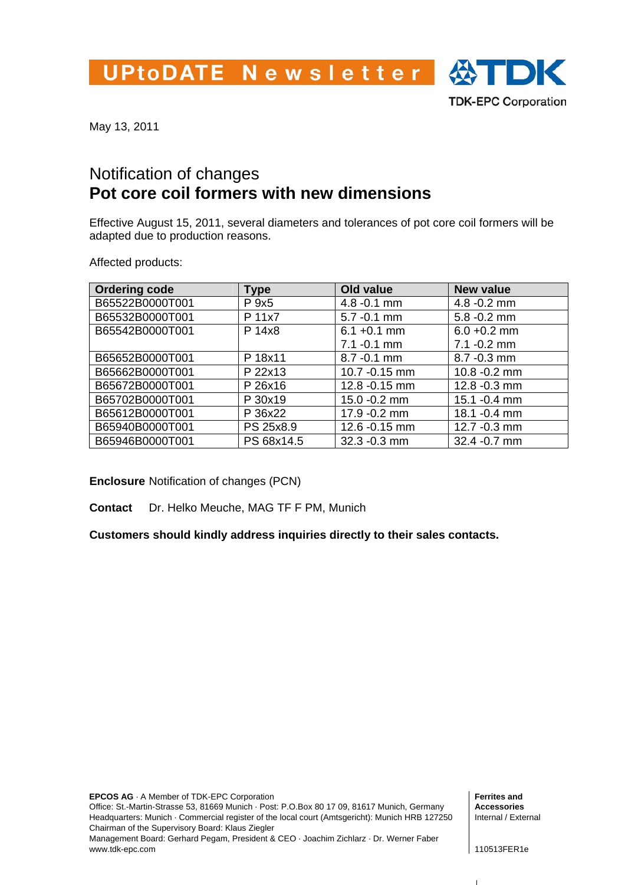UPtoDATE Newsletter  $\bigoplus$  DK



May 13, 2011

## Notification of changes **Pot core coil formers with new dimensions**

Effective August 15, 2011, several diameters and tolerances of pot core coil formers will be adapted due to production reasons.

Affected products:

| <b>Ordering code</b> | Type       | Old value      | <b>New value</b> |
|----------------------|------------|----------------|------------------|
| B65522B0000T001      | P 9x5      | $4.8 - 0.1$ mm | $4.8 - 0.2$ mm   |
| B65532B0000T001      | P 11x7     | $5.7 - 0.1$ mm | $5.8 - 0.2$ mm   |
| B65542B0000T001      | P 14x8     | $6.1 + 0.1$ mm | $6.0 + 0.2$ mm   |
|                      |            | $7.1 - 0.1$ mm | $7.1 - 0.2$ mm   |
| B65652B0000T001      | P 18x11    | 8.7 - 0.1 mm   | 8.7 - 0.3 mm     |
| B65662B0000T001      | P 22x13    | 10.7 - 0.15 mm | 10.8 - 0.2 mm    |
| B65672B0000T001      | P 26x16    | 12.8 - 0.15 mm | 12.8 - 0.3 mm    |
| B65702B0000T001      | P 30x19    | 15.0 - 0.2 mm  | 15.1 - 0.4 mm    |
| B65612B0000T001      | P 36x22    | 17.9 - 0.2 mm  | 18.1 - 0.4 mm    |
| B65940B0000T001      | PS 25x8.9  | 12.6 - 0.15 mm | 12.7 - 0.3 mm    |
| B65946B0000T001      | PS 68x14.5 | 32.3 - 0.3 mm  | 32.4 - 0.7 mm    |

**Enclosure** Notification of changes (PCN)

**Contact** Dr. Helko Meuche, MAG TF F PM, Munich

**Customers should kindly address inquiries directly to their sales contacts.** 

 $\mathbf{I}$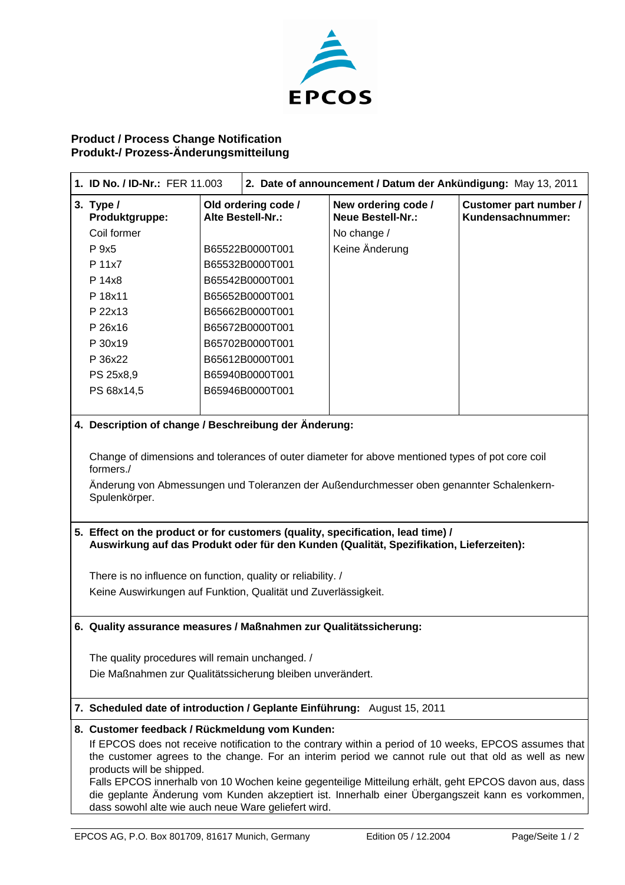

## **Product / Process Change Notification Produkt-/ Prozess-Änderungsmitteilung**

| 1. ID No. / ID-Nr.: FER 11.003                                                                                                                                                                                                                                                                                                                                                                                                                                                                                                                                   |  | 2. Date of announcement / Datum der Ankündigung: May 13, 2011                                                                                                                                                                          |                                                                                  |                                             |  |
|------------------------------------------------------------------------------------------------------------------------------------------------------------------------------------------------------------------------------------------------------------------------------------------------------------------------------------------------------------------------------------------------------------------------------------------------------------------------------------------------------------------------------------------------------------------|--|----------------------------------------------------------------------------------------------------------------------------------------------------------------------------------------------------------------------------------------|----------------------------------------------------------------------------------|---------------------------------------------|--|
| 3. Type $/$<br>Produktgruppe:<br>Coil former<br>P 9x5<br>P 11x7<br>P 14x8<br>P 18x11<br>P 22x13<br>P 26x16<br>P 30x19<br>P 36x22<br>PS 25x8,9<br>PS 68x14,5                                                                                                                                                                                                                                                                                                                                                                                                      |  | Old ordering code /<br>Alte Bestell-Nr.:<br>B65522B0000T001<br>B65532B0000T001<br>B65542B0000T001<br>B65652B0000T001<br>B65662B0000T001<br>B65672B0000T001<br>B65702B0000T001<br>B65612B0000T001<br>B65940B0000T001<br>B65946B0000T001 | New ordering code /<br><b>Neue Bestell-Nr.:</b><br>No change /<br>Keine Änderung | Customer part number /<br>Kundensachnummer: |  |
| 4. Description of change / Beschreibung der Änderung:                                                                                                                                                                                                                                                                                                                                                                                                                                                                                                            |  |                                                                                                                                                                                                                                        |                                                                                  |                                             |  |
| Change of dimensions and tolerances of outer diameter for above mentioned types of pot core coil<br>formers./<br>Änderung von Abmessungen und Toleranzen der Außendurchmesser oben genannter Schalenkern-<br>Spulenkörper.<br>5. Effect on the product or for customers (quality, specification, lead time) /<br>Auswirkung auf das Produkt oder für den Kunden (Qualität, Spezifikation, Lieferzeiten):<br>There is no influence on function, quality or reliability. /<br>Keine Auswirkungen auf Funktion, Qualität und Zuverlässigkeit.                       |  |                                                                                                                                                                                                                                        |                                                                                  |                                             |  |
| 6. Quality assurance measures / Maßnahmen zur Qualitätssicherung:                                                                                                                                                                                                                                                                                                                                                                                                                                                                                                |  |                                                                                                                                                                                                                                        |                                                                                  |                                             |  |
| The quality procedures will remain unchanged. /<br>Die Maßnahmen zur Qualitätssicherung bleiben unverändert.                                                                                                                                                                                                                                                                                                                                                                                                                                                     |  |                                                                                                                                                                                                                                        |                                                                                  |                                             |  |
| 7. Scheduled date of introduction / Geplante Einführung: August 15, 2011                                                                                                                                                                                                                                                                                                                                                                                                                                                                                         |  |                                                                                                                                                                                                                                        |                                                                                  |                                             |  |
| 8. Customer feedback / Rückmeldung vom Kunden:<br>If EPCOS does not receive notification to the contrary within a period of 10 weeks, EPCOS assumes that<br>the customer agrees to the change. For an interim period we cannot rule out that old as well as new<br>products will be shipped.<br>Falls EPCOS innerhalb von 10 Wochen keine gegenteilige Mitteilung erhält, geht EPCOS davon aus, dass<br>die geplante Änderung vom Kunden akzeptiert ist. Innerhalb einer Übergangszeit kann es vorkommen,<br>dass sowohl alte wie auch neue Ware geliefert wird. |  |                                                                                                                                                                                                                                        |                                                                                  |                                             |  |